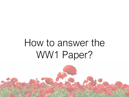# How to answer the WW1 Paper?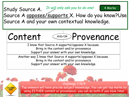## Study Source A. Source A opposes/supports X. How do you know?Use Source A and your own contextual knowledge. 4 Marks *It will only ask you to do one!*



Challenge 7/8/9 Top answers will have precise subject knowledge. You can get top marks by **CHALLENGES** using EITHER content or provenance- you can do both if you have time!

**AHEAD**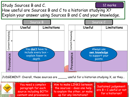

paragraph for each source including BOTH content and provenance

the sources – does one help to explain the other, or make up for any limitations?

are B + C useful or not for a historian?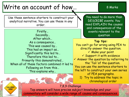## Write an account of how... 1 8 Marks

Use these sentence starters to construct your analytical narrative. You can use these in any order.

## Firstly… Secondly… After which… As a consequence… This was caused by… This had an impact as… Significantly this led to… Therefore this led to… Primarily this demonstrated… When all of these factors combined it led to Following on from this… This explains why…

CHALLENGE **AHEAD** 

You need to do more than DESCRIBE events. You need EXPLAIN the causes and consequences of the events relevant to the question

### **Top tips:**

You can't go far wrong using PEA to directly answer the question. ✓ Make your point ✓ Support it with evidence  $\checkmark$  Answer the question by referring to the 'Tail 'of the question. You can use the sentence starters to the left to construct your own series of PEA paragraphs. 1) Try to address the topic in chronological order

7,8,9 Challenge Top answers will have precise subject knowledge and your commentary will consider a wide range of causes and consequences